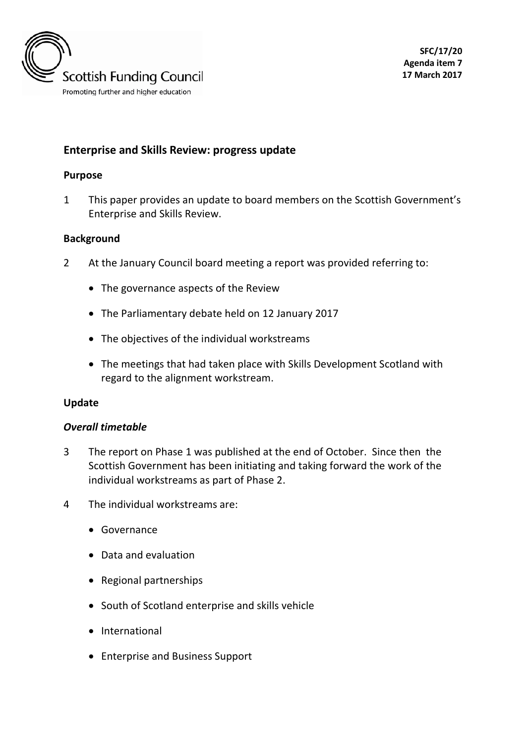

# **Enterprise and Skills Review: progress update**

### **Purpose**

1 This paper provides an update to board members on the Scottish Government's Enterprise and Skills Review.

### **Background**

- 2 At the January Council board meeting a report was provided referring to:
	- The governance aspects of the Review
	- The Parliamentary debate held on 12 January 2017
	- The objectives of the individual workstreams
	- The meetings that had taken place with Skills Development Scotland with regard to the alignment workstream.

### **Update**

### *Overall timetable*

- 3 The report on Phase 1 was published at the end of October. Since then the Scottish Government has been initiating and taking forward the work of the individual workstreams as part of Phase 2.
- <span id="page-0-0"></span>4 The individual workstreams are:
	- Governance
	- Data and evaluation
	- Regional partnerships
	- South of Scotland enterprise and skills vehicle
	- International
	- Enterprise and Business Support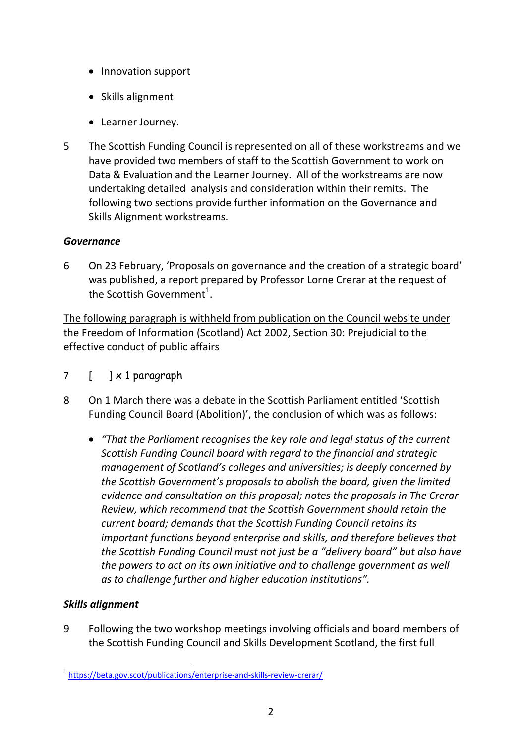- Innovation support
- Skills alignment
- Learner Journey.
- 5 The Scottish Funding Council is represented on all of these workstreams and we have provided two members of staff to the Scottish Government to work on Data & Evaluation and the Learner Journey. All of the workstreams are now undertaking detailed analysis and consideration within their remits. The following two sections provide further information on the Governance and Skills Alignment workstreams.

### *Governance*

6 On 23 February, 'Proposals on governance and the creation of a strategic board' was published, a report prepared by Professor Lorne Crerar at the request of the Scottish Government $^1$  $^1$ .

The following paragraph is withheld from publication on the Council website under the Freedom of Information (Scotland) Act 2002, Section 30: Prejudicial to the effective conduct of public affairs

- 7 [ ] x 1 paragraph
- 8 On 1 March there was a debate in the Scottish Parliament entitled 'Scottish Funding Council Board (Abolition)', the conclusion of which was as follows:
	- *"That the Parliament recognises the key role and legal status of the current Scottish Funding Council board with regard to the financial and strategic management of Scotland's colleges and universities; is deeply concerned by the Scottish Government's proposals to abolish the board, given the limited evidence and consultation on this proposal; notes the proposals in The Crerar Review, which recommend that the Scottish Government should retain the current board; demands that the Scottish Funding Council retains its important functions beyond enterprise and skills, and therefore believes that the Scottish Funding Council must not just be a "delivery board" but also have the powers to act on its own initiative and to challenge government as well as to challenge further and higher education institutions".*

## *Skills alignment*

9 Following the two workshop meetings involving officials and board members of the Scottish Funding Council and Skills Development Scotland, the first full

 <sup>1</sup> <https://beta.gov.scot/publications/enterprise-and-skills-review-crerar/>